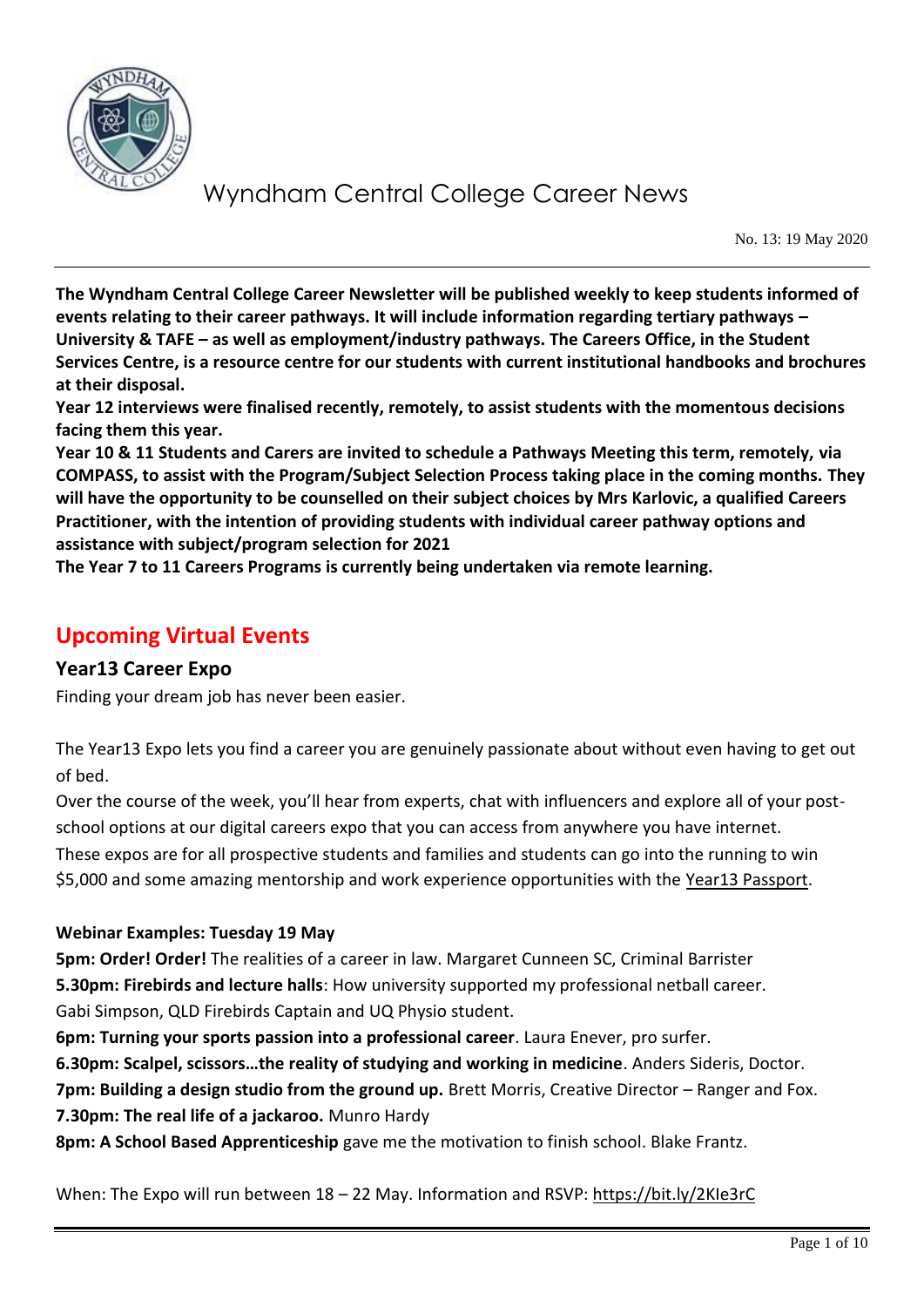

No. 13: 19 May 2020

**The Wyndham Central College Career Newsletter will be published weekly to keep students informed of events relating to their career pathways. It will include information regarding tertiary pathways – University & TAFE – as well as employment/industry pathways. The Careers Office, in the Student Services Centre, is a resource centre for our students with current institutional handbooks and brochures at their disposal.** 

**Year 12 interviews were finalised recently, remotely, to assist students with the momentous decisions facing them this year.** 

**Year 10 & 11 Students and Carers are invited to schedule a Pathways Meeting this term, remotely, via COMPASS, to assist with the Program/Subject Selection Process taking place in the coming months. They will have the opportunity to be counselled on their subject choices by Mrs Karlovic, a qualified Careers Practitioner, with the intention of providing students with individual career pathway options and assistance with subject/program selection for 2021**

**The Year 7 to 11 Careers Programs is currently being undertaken via remote learning.**

## **Upcoming Virtual Events**

### **Year13 Career Expo**

Finding your dream job has never been easier.

The Year13 Expo lets you find a career you are genuinely passionate about without even having to get out of bed.

Over the course of the week, you'll hear from experts, chat with influencers and explore all of your postschool options at our digital careers expo that you can access from anywhere you have internet. These expos are for all prospective students and families and students can go into the running to win \$5,000 and some amazing mentorship and work experience opportunities with the [Year13 Passport.](https://year13.com.au/passport)

#### **Webinar Examples: Tuesday 19 May**

**5pm: Order! Order!** The realities of a career in law. Margaret Cunneen SC, Criminal Barrister **5.30pm: Firebirds and lecture halls**: How university supported my professional netball career. Gabi Simpson, QLD Firebirds Captain and UQ Physio student.

**6pm: Turning your sports passion into a professional career**. Laura Enever, pro surfer.

**6.30pm: Scalpel, scissors…the reality of studying and working in medicine**. Anders Sideris, Doctor.

**7pm: Building a design studio from the ground up.** Brett Morris, Creative Director – Ranger and Fox.

**7.30pm: The real life of a jackaroo.** Munro Hardy

**8pm: A School Based Apprenticeship** gave me the motivation to finish school. Blake Frantz.

When: The Expo will run between 18 – 22 May. Information and RSVP:<https://bit.ly/2KIe3rC>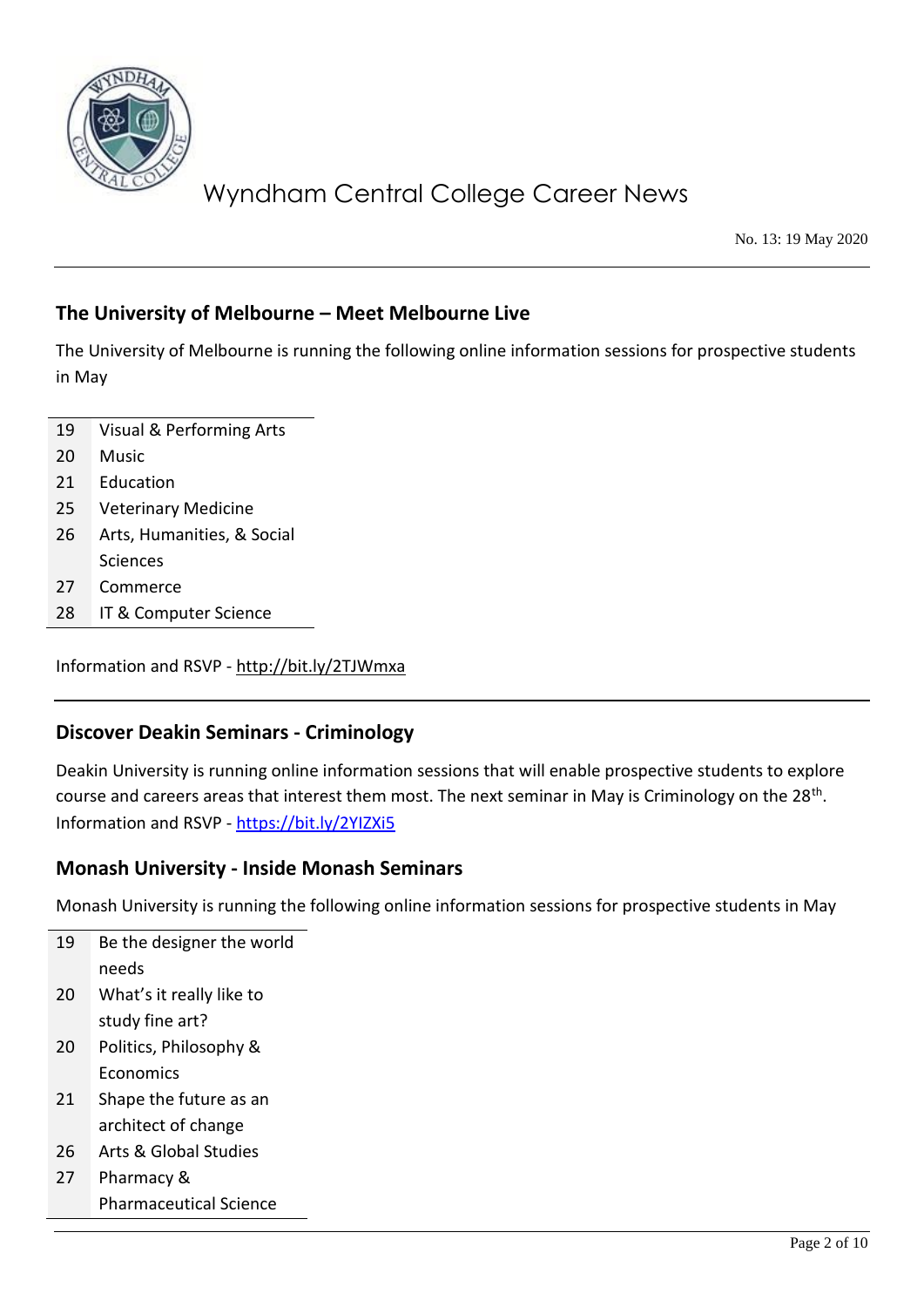

No. 13: 19 May 2020

### **The University of Melbourne – Meet Melbourne Live**

The University of Melbourne is running the following online information sessions for prospective students in May

- 19 Visual & Performing Arts
- 20 Music
- 21 Education
- 25 Veterinary Medicine
- 26 Arts, Humanities, & Social Sciences
- 27 Commerce
- 28 IT & Computer Science

Information and RSVP - <http://bit.ly/2TJWmxa>

### **Discover Deakin Seminars - Criminology**

Deakin University is running online information sessions that will enable prospective students to explore course and careers areas that interest them most. The next seminar in May is Criminology on the 28<sup>th</sup>. Information and RSVP - <https://bit.ly/2YIZXi5>

### **Monash University - Inside Monash Seminars**

Monash University is running the following online information sessions for prospective students in May

| 19 | Be the designer the world |
|----|---------------------------|
|    | needs                     |
| 20 | What's it really like to  |
|    | study fine art?           |
| 20 | Politics, Philosophy &    |
|    | Economics                 |
| 21 | Shape the future as an    |
|    | architect of change       |
| 26 | Arts & Global Studies     |
| 27 | Pharmacy &                |

Pharmaceutical Science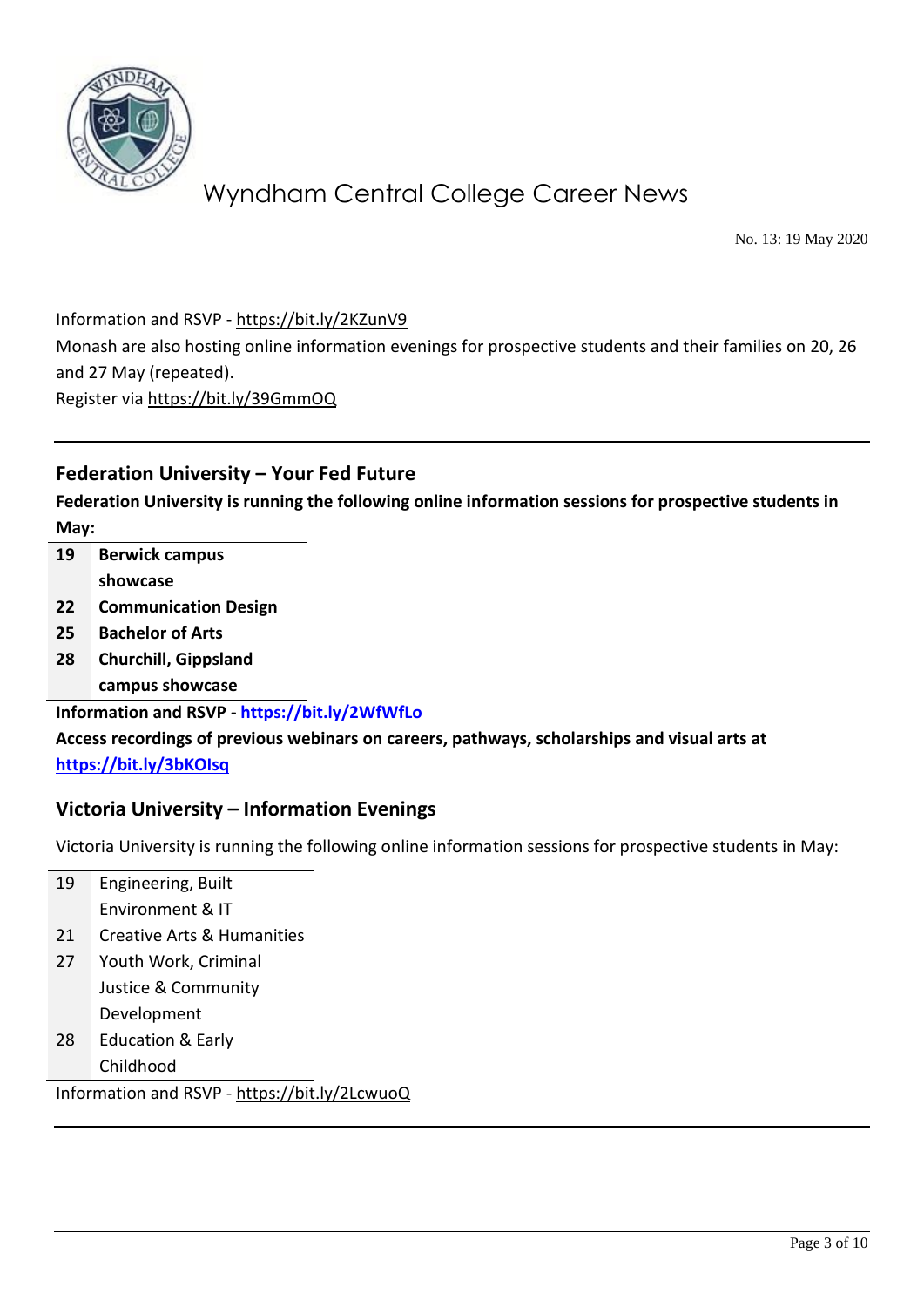

No. 13: 19 May 2020

Information and RSVP - <https://bit.ly/2KZunV9>

Monash are also hosting online information evenings for prospective students and their families on 20, 26 and 27 May (repeated).

Register via<https://bit.ly/39GmmOQ>

### **Federation University – Your Fed Future**

**Federation University is running the following online information sessions for prospective students in May:**

- **19 Berwick campus showcase**
- **22 Communication Design**
- **25 Bachelor of Arts**
- **28 Churchill, Gippsland campus showcase**

**Information and RSVP - <https://bit.ly/2WfWfLo>**

**Access recordings of previous webinars on careers, pathways, scholarships and visual arts at <https://bit.ly/3bKOIsq>**

#### **Victoria University – Information Evenings**

Victoria University is running the following online information sessions for prospective students in May:

| 19 | Engineering, Built           |
|----|------------------------------|
|    | Environment & IT             |
| 21 | Creative Arts & Humanities   |
| 27 | Youth Work, Criminal         |
|    | Justice & Community          |
|    | Development                  |
| 28 | <b>Education &amp; Early</b> |
|    | Childhood                    |

Information and RSVP - <https://bit.ly/2LcwuoQ>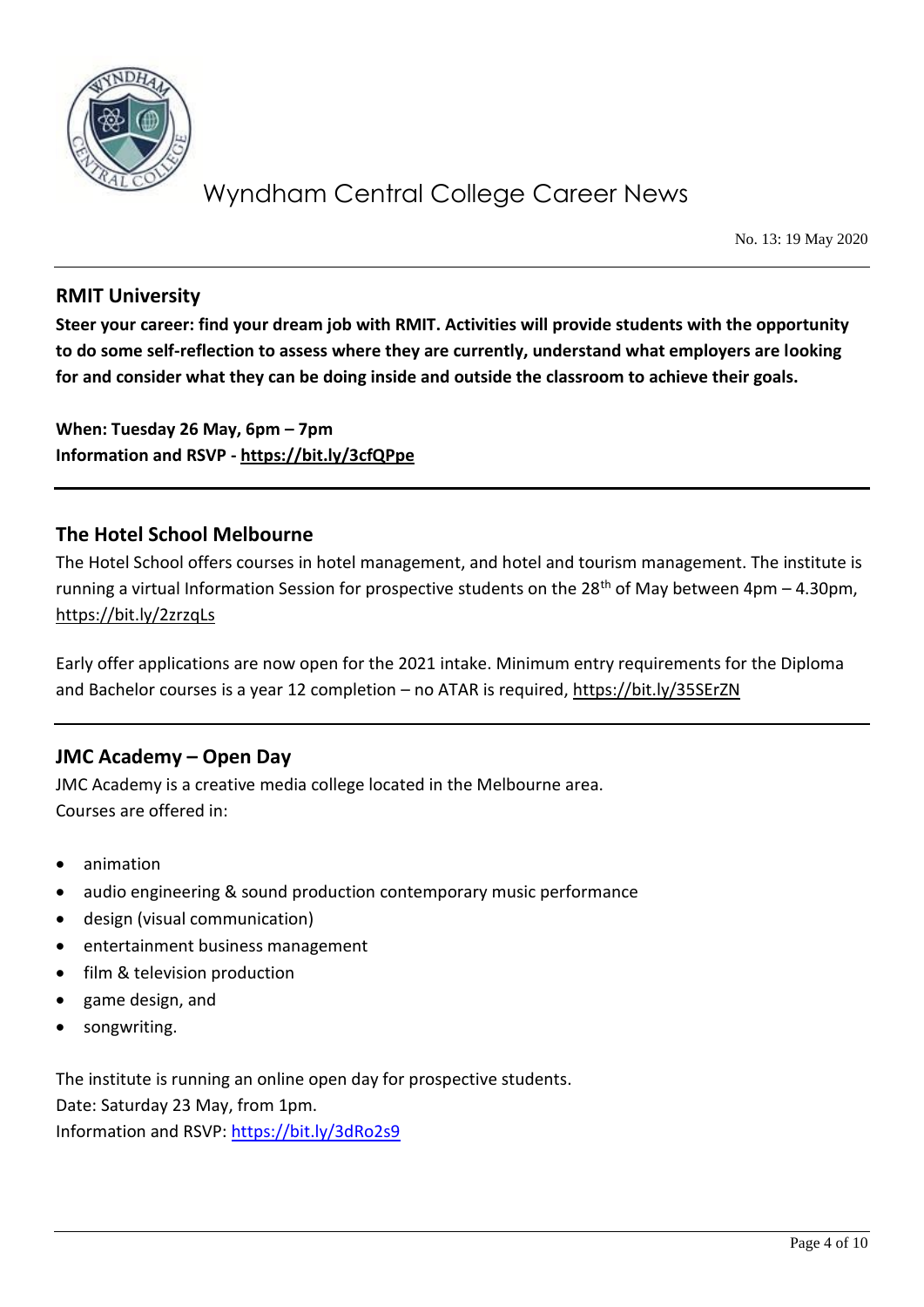

No. 13: 19 May 2020

### **RMIT University**

**Steer your career: find your dream job with RMIT. Activities will provide students with the opportunity to do some self-reflection to assess where they are currently, understand what employers are looking for and consider what they can be doing inside and outside the classroom to achieve their goals.**

**When: Tuesday 26 May, 6pm – 7pm Information and RSVP - <https://bit.ly/3cfQPpe>**

### **The Hotel School Melbourne**

The Hotel School offers courses in hotel management, and hotel and tourism management. The institute is running a virtual Information Session for prospective students on the 28<sup>th</sup> of May between 4pm – 4.30pm, <https://bit.ly/2zrzqLs>

Early offer applications are now open for the 2021 intake. Minimum entry requirements for the Diploma and Bachelor courses is a year 12 completion – no ATAR is required,<https://bit.ly/35SErZN>

### **JMC Academy – Open Day**

JMC Academy is a creative media college located in the Melbourne area. Courses are offered in:

- animation
- audio engineering & sound production contemporary music performance
- design (visual communication)
- entertainment business management
- film & television production
- game design, and
- songwriting.

The institute is running an online open day for prospective students. Date: Saturday 23 May, from 1pm. Information and RSVP:<https://bit.ly/3dRo2s9>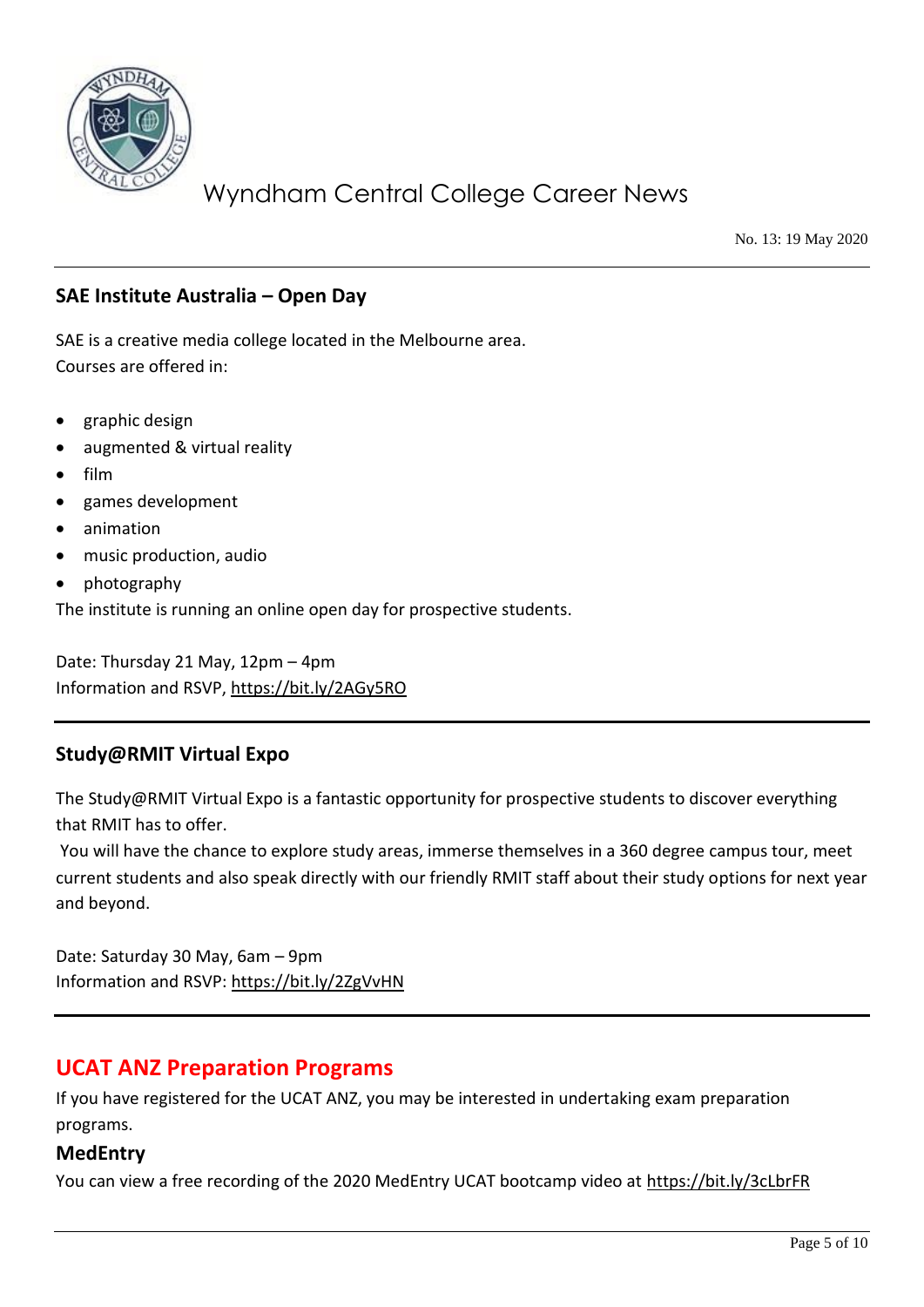

No. 13: 19 May 2020

### **SAE Institute Australia – Open Day**

SAE is a creative media college located in the Melbourne area. Courses are offered in:

- graphic design
- augmented & virtual reality
- film
- games development
- animation
- music production, audio
- photography

The institute is running an online open day for prospective students.

Date: Thursday 21 May, 12pm – 4pm Information and RSVP,<https://bit.ly/2AGy5RO>

### **Study@RMIT Virtual Expo**

The Study@RMIT Virtual Expo is a fantastic opportunity for prospective students to discover everything that RMIT has to offer.

You will have the chance to explore study areas, immerse themselves in a 360 degree campus tour, meet current students and also speak directly with our friendly RMIT staff about their study options for next year and beyond.

Date: Saturday 30 May, 6am – 9pm Information and RSVP:<https://bit.ly/2ZgVvHN>

### **UCAT ANZ Preparation Programs**

If you have registered for the UCAT ANZ, you may be interested in undertaking exam preparation programs.

### **MedEntry**

You can view a free recording of the 2020 MedEntry UCAT bootcamp video at<https://bit.ly/3cLbrFR>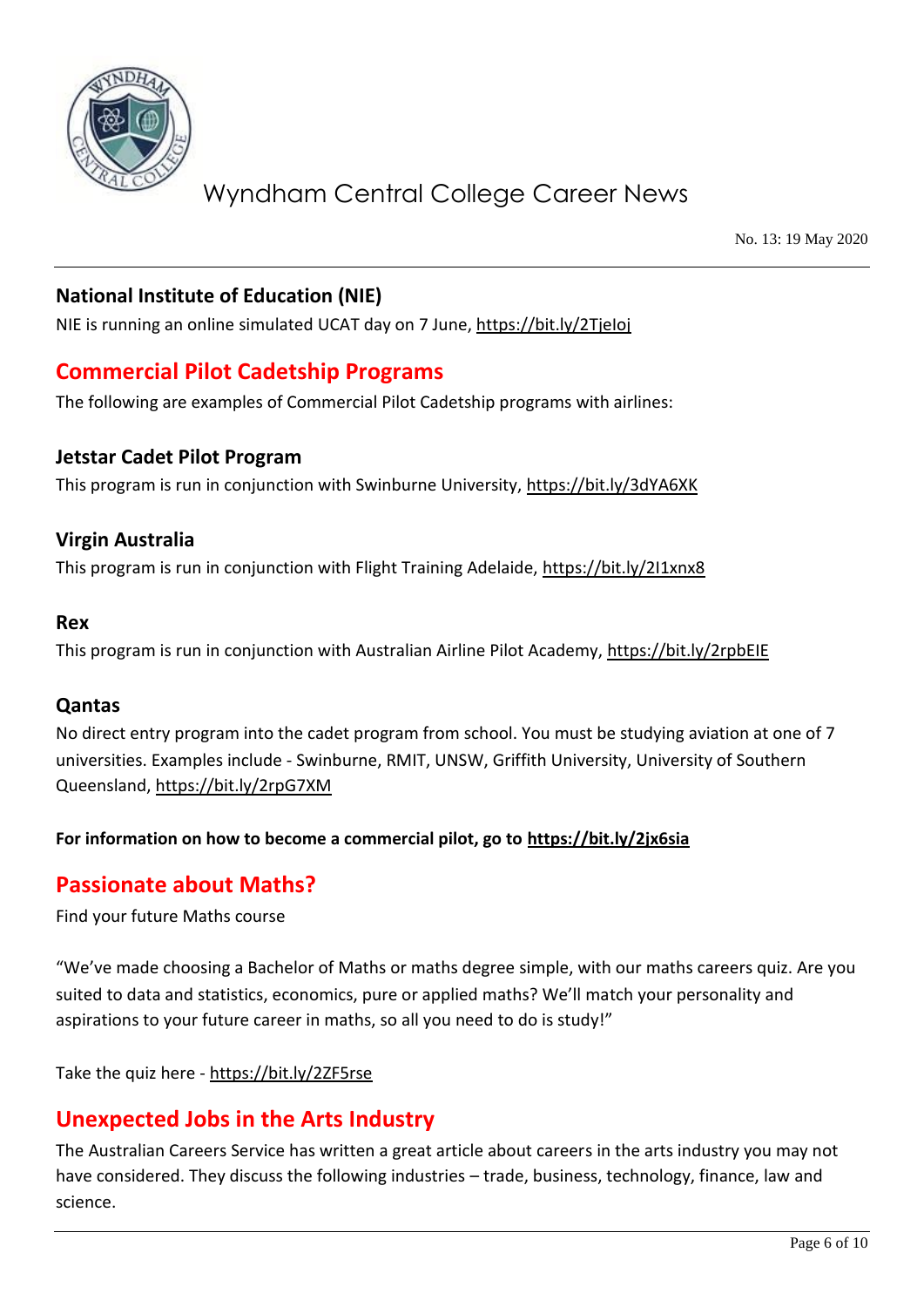

No. 13: 19 May 2020

### **National Institute of Education (NIE)**

NIE is running an online simulated UCAT day on 7 June,<https://bit.ly/2TjeIoj>

### **Commercial Pilot Cadetship Programs**

The following are examples of Commercial Pilot Cadetship programs with airlines:

### **Jetstar Cadet Pilot Program**

This program is run in conjunction with Swinburne University,<https://bit.ly/3dYA6XK>

### **Virgin Australia**

This program is run in conjunction with Flight Training Adelaide,<https://bit.ly/2I1xnx8>

#### **Rex**

This program is run in conjunction with Australian Airline Pilot Academy,<https://bit.ly/2rpbEIE>

### **Qantas**

No direct entry program into the cadet program from school. You must be studying aviation at one of 7 universities. Examples include - Swinburne, RMIT, UNSW, Griffith University, University of Southern Queensland,<https://bit.ly/2rpG7XM>

#### **For information on how to become a commercial pilot, go to<https://bit.ly/2jx6sia>**

### **Passionate about Maths?**

Find your future Maths course

"We've made choosing a Bachelor of Maths or maths degree simple, with our maths careers quiz. Are you suited to data and statistics, economics, pure or applied maths? We'll match your personality and aspirations to your future career in maths, so all you need to do is study!"

Take the quiz here - https://bit.ly/2ZF5rse

### **Unexpected Jobs in the Arts Industry**

The Australian Careers Service has written a great article about careers in the arts industry you may not have considered. They discuss the following industries – trade, business, technology, finance, law and science.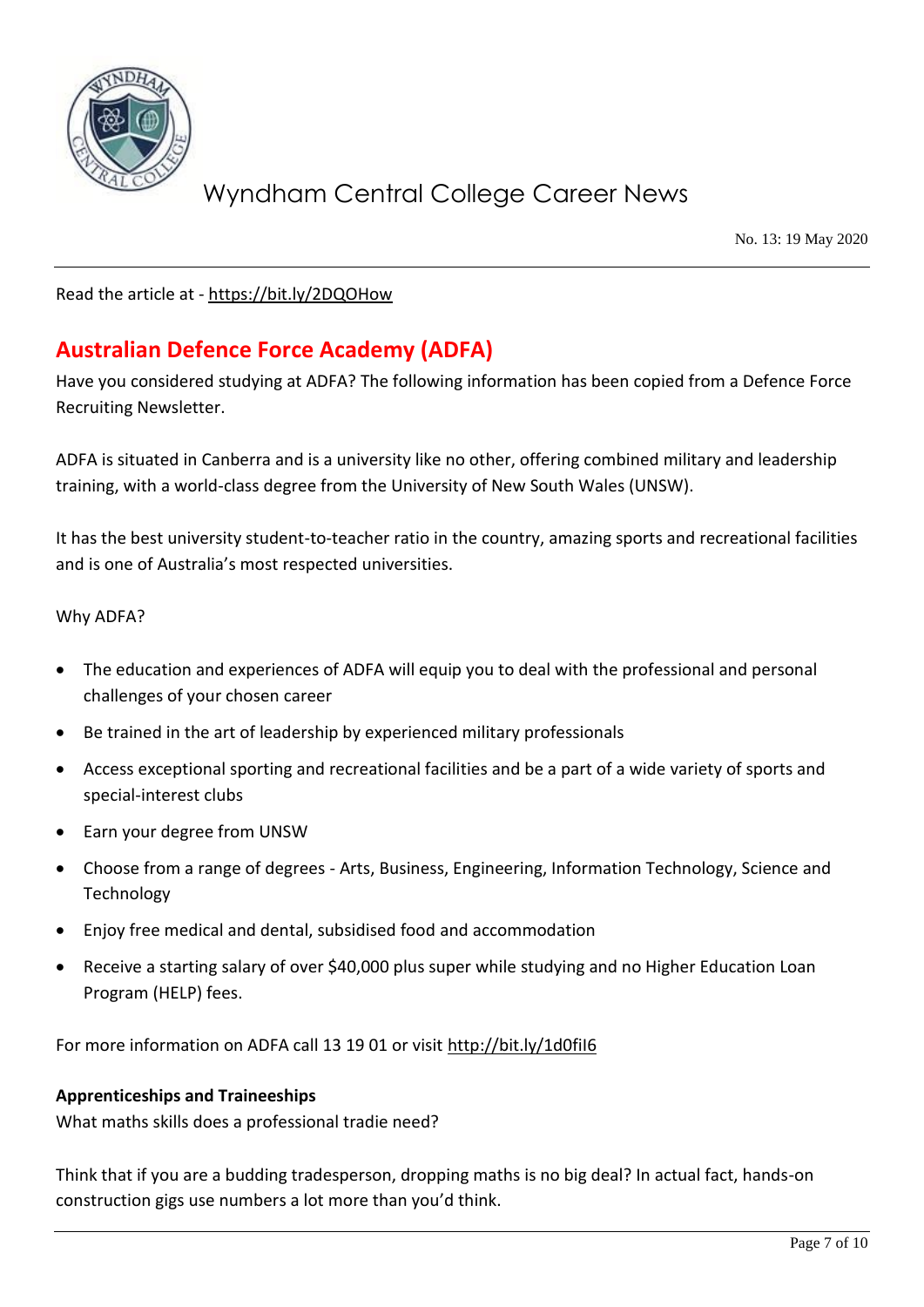

No. 13: 19 May 2020

Read the article at - <https://bit.ly/2DQOHow>

## **Australian Defence Force Academy (ADFA)**

Have you considered studying at ADFA? The following information has been copied from a Defence Force Recruiting Newsletter.

ADFA is situated in Canberra and is a university like no other, offering combined military and leadership training, with a world-class degree from the University of New South Wales (UNSW).

It has the best university student-to-teacher ratio in the country, amazing sports and recreational facilities and is one of Australia's most respected universities.

#### Why ADFA?

- The education and experiences of ADFA will equip you to deal with the professional and personal challenges of your chosen career
- Be trained in the art of leadership by experienced military professionals
- Access exceptional sporting and recreational facilities and be a part of a wide variety of sports and special-interest clubs
- Earn your degree from UNSW
- Choose from a range of degrees Arts, Business, Engineering, Information Technology, Science and Technology
- Enjoy free medical and dental, subsidised food and accommodation
- Receive a starting salary of over \$40,000 plus super while studying and no Higher Education Loan Program (HELP) fees.

For more information on ADFA call 13 19 01 or visit<http://bit.ly/1d0fiI6>

#### **Apprenticeships and Traineeships**

What maths skills does a professional tradie need?

Think that if you are a budding tradesperson, dropping maths is no big deal? In actual fact, hands-on construction gigs use numbers a lot more than you'd think.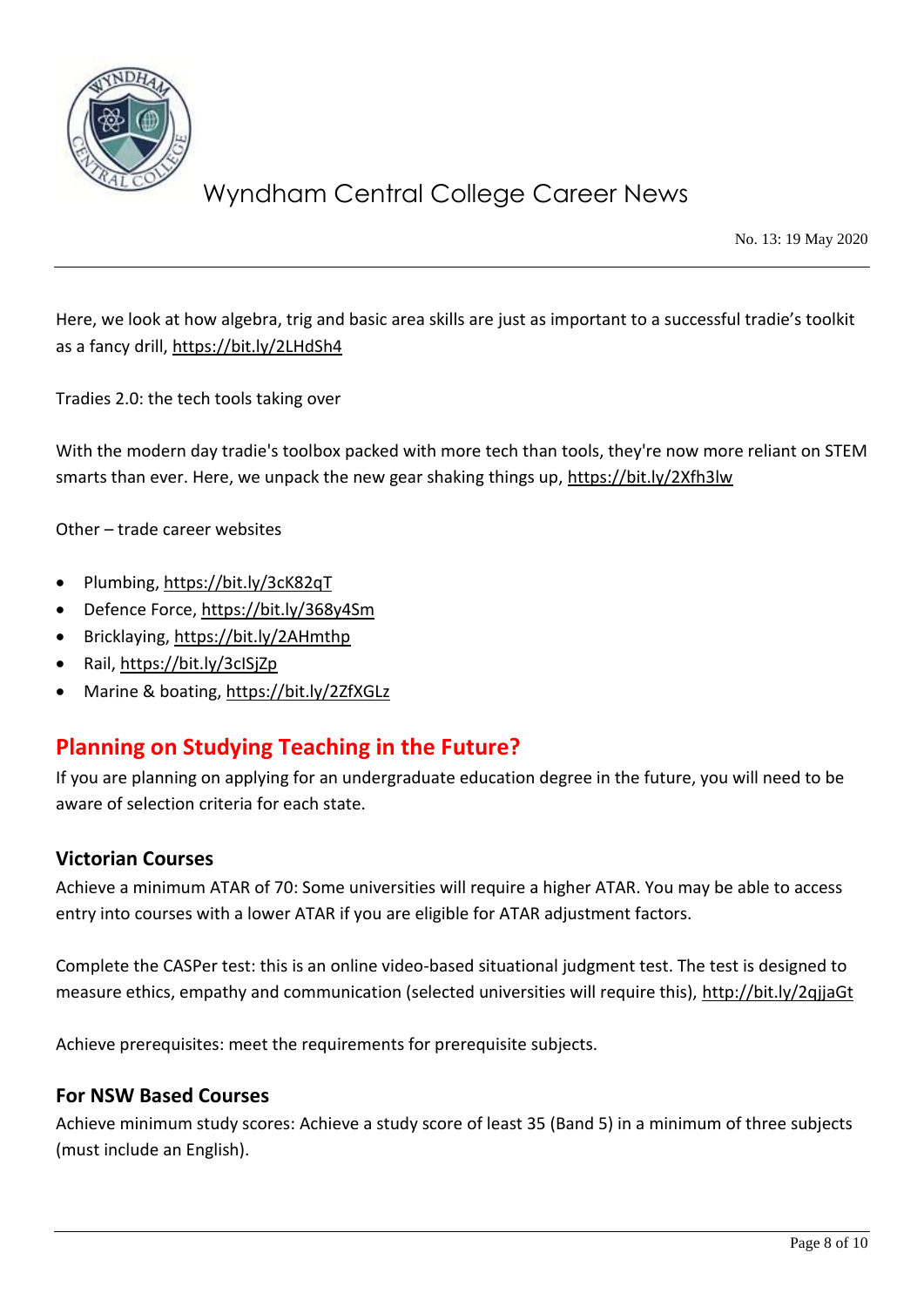

No. 13: 19 May 2020

Here, we look at how algebra, trig and basic area skills are just as important to a successful tradie's toolkit as a fancy drill,<https://bit.ly/2LHdSh4>

Tradies 2.0: the tech tools taking over

With the modern day tradie's toolbox packed with more tech than tools, they're now more reliant on STEM smarts than ever. Here, we unpack the new gear shaking things up,<https://bit.ly/2Xfh3lw>

Other – trade career websites

- Plumbing,<https://bit.ly/3cK82qT>
- Defence Force,<https://bit.ly/368y4Sm>
- Bricklaying,<https://bit.ly/2AHmthp>
- Rail,<https://bit.ly/3cISjZp>
- Marine & boating,<https://bit.ly/2ZfXGLz>

### **Planning on Studying Teaching in the Future?**

If you are planning on applying for an undergraduate education degree in the future, you will need to be aware of selection criteria for each state.

#### **Victorian Courses**

Achieve a minimum ATAR of 70: Some universities will require a higher ATAR. You may be able to access entry into courses with a lower ATAR if you are eligible for ATAR adjustment factors.

Complete the CASPer test: this is an online video-based situational judgment test. The test is designed to measure ethics, empathy and communication (selected universities will require this),<http://bit.ly/2qjjaGt>

Achieve prerequisites: meet the requirements for prerequisite subjects.

#### **For NSW Based Courses**

Achieve minimum study scores: Achieve a study score of least 35 (Band 5) in a minimum of three subjects (must include an English).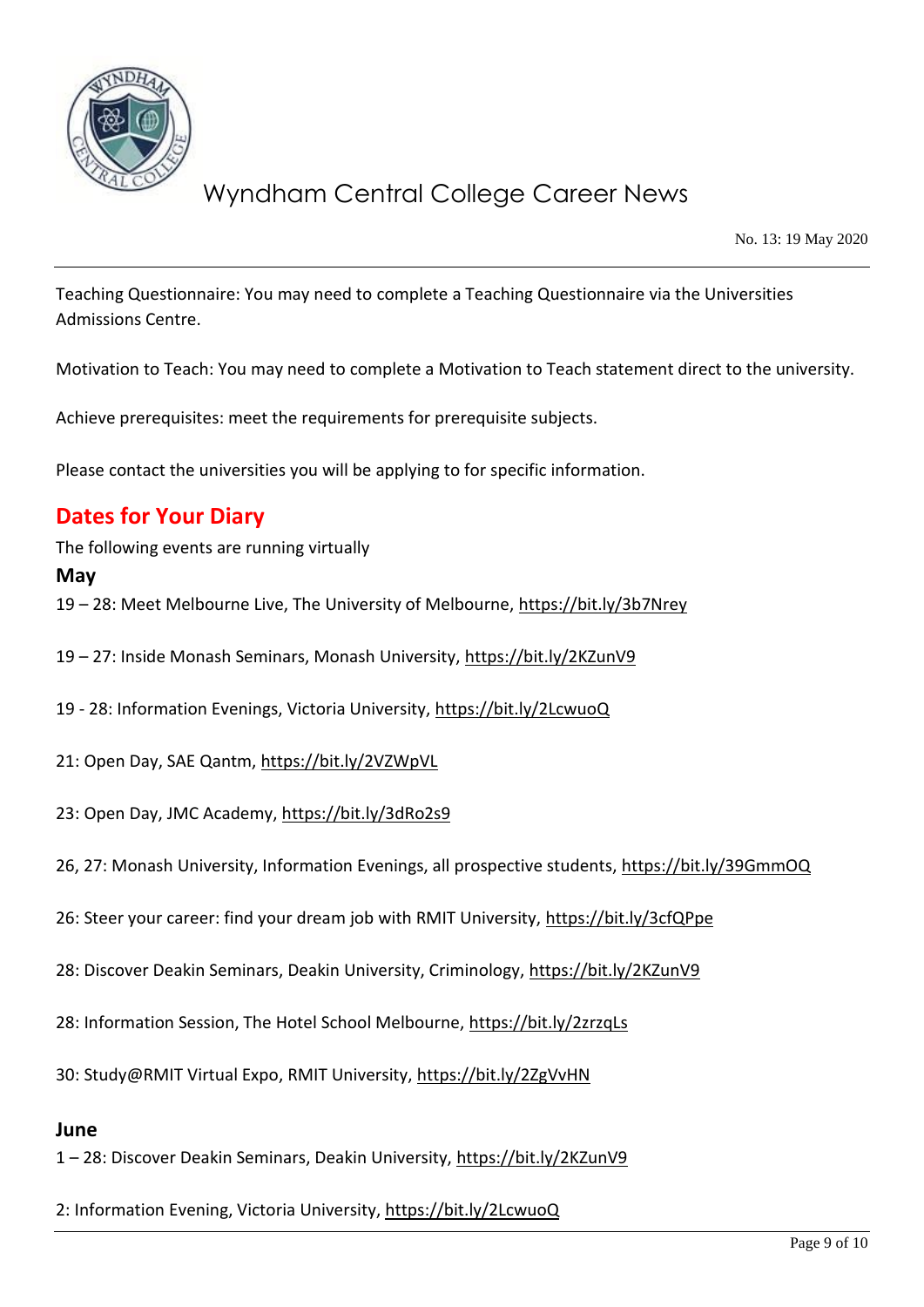

No. 13: 19 May 2020

Teaching Questionnaire: You may need to complete a Teaching Questionnaire via the Universities Admissions Centre.

Motivation to Teach: You may need to complete a Motivation to Teach statement direct to the university.

Achieve prerequisites: meet the requirements for prerequisite subjects.

Please contact the universities you will be applying to for specific information.

## **Dates for Your Diary**

The following events are running virtually

#### **May**

19 – 28: Meet Melbourne Live, The University of Melbourne,<https://bit.ly/3b7Nrey>

19 – 27: Inside Monash Seminars, Monash University,<https://bit.ly/2KZunV9>

19 - 28: Information Evenings, Victoria University,<https://bit.ly/2LcwuoQ>

- 21: Open Day, SAE Qantm,<https://bit.ly/2VZWpVL>
- 23: Open Day, JMC Academy,<https://bit.ly/3dRo2s9>

26, 27: Monash University, Information Evenings, all prospective students,<https://bit.ly/39GmmOQ>

26: Steer your career: find your dream job with RMIT University,<https://bit.ly/3cfQPpe>

28: Discover Deakin Seminars, Deakin University, Criminology,<https://bit.ly/2KZunV9>

28: Information Session, The Hotel School Melbourne,<https://bit.ly/2zrzqLs>

30: Study@RMIT Virtual Expo, RMIT University,<https://bit.ly/2ZgVvHN>

#### **June**

1 – 28: Discover Deakin Seminars, Deakin University,<https://bit.ly/2KZunV9>

2: Information Evening, Victoria University,<https://bit.ly/2LcwuoQ>